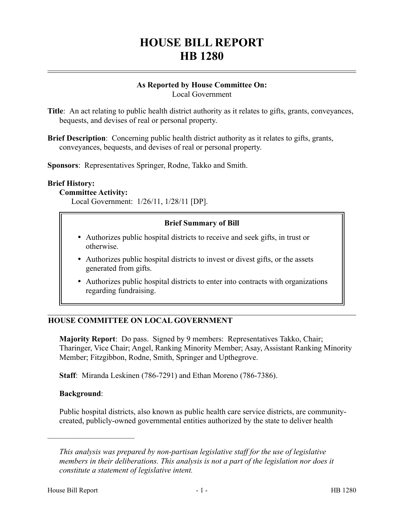# **HOUSE BILL REPORT HB 1280**

#### **As Reported by House Committee On:** Local Government

**Title**: An act relating to public health district authority as it relates to gifts, grants, conveyances, bequests, and devises of real or personal property.

**Brief Description**: Concerning public health district authority as it relates to gifts, grants, conveyances, bequests, and devises of real or personal property.

**Sponsors**: Representatives Springer, Rodne, Takko and Smith.

#### **Brief History:**

#### **Committee Activity:**

Local Government: 1/26/11, 1/28/11 [DP].

#### **Brief Summary of Bill**

- Authorizes public hospital districts to receive and seek gifts, in trust or otherwise.
- Authorizes public hospital districts to invest or divest gifts, or the assets generated from gifts.
- Authorizes public hospital districts to enter into contracts with organizations regarding fundraising.

## **HOUSE COMMITTEE ON LOCAL GOVERNMENT**

**Majority Report**: Do pass. Signed by 9 members: Representatives Takko, Chair; Tharinger, Vice Chair; Angel, Ranking Minority Member; Asay, Assistant Ranking Minority Member; Fitzgibbon, Rodne, Smith, Springer and Upthegrove.

**Staff**: Miranda Leskinen (786-7291) and Ethan Moreno (786-7386).

#### **Background**:

––––––––––––––––––––––

Public hospital districts, also known as public health care service districts, are communitycreated, publicly-owned governmental entities authorized by the state to deliver health

*This analysis was prepared by non-partisan legislative staff for the use of legislative members in their deliberations. This analysis is not a part of the legislation nor does it constitute a statement of legislative intent.*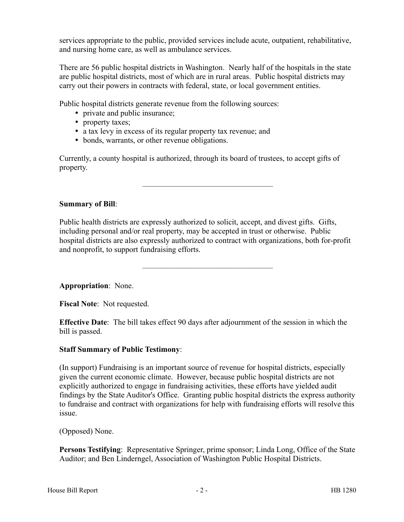services appropriate to the public, provided services include acute, outpatient, rehabilitative, and nursing home care, as well as ambulance services.

There are 56 public hospital districts in Washington. Nearly half of the hospitals in the state are public hospital districts, most of which are in rural areas. Public hospital districts may carry out their powers in contracts with federal, state, or local government entities.

Public hospital districts generate revenue from the following sources:

- private and public insurance;
- property taxes;
- a tax levy in excess of its regular property tax revenue; and
- bonds, warrants, or other revenue obligations.

Currently, a county hospital is authorized, through its board of trustees, to accept gifts of property.

–––––––––––––––––––––––––––––––––

### **Summary of Bill**:

Public health districts are expressly authorized to solicit, accept, and divest gifts. Gifts, including personal and/or real property, may be accepted in trust or otherwise. Public hospital districts are also expressly authorized to contract with organizations, both for-profit and nonprofit, to support fundraising efforts.

–––––––––––––––––––––––––––––––––

**Appropriation**: None.

**Fiscal Note**: Not requested.

**Effective Date**: The bill takes effect 90 days after adjournment of the session in which the bill is passed.

### **Staff Summary of Public Testimony**:

(In support) Fundraising is an important source of revenue for hospital districts, especially given the current economic climate. However, because public hospital districts are not explicitly authorized to engage in fundraising activities, these efforts have yielded audit findings by the State Auditor's Office. Granting public hospital districts the express authority to fundraise and contract with organizations for help with fundraising efforts will resolve this issue.

(Opposed) None.

**Persons Testifying**: Representative Springer, prime sponsor; Linda Long, Office of the State Auditor; and Ben Linderngel, Association of Washington Public Hospital Districts.